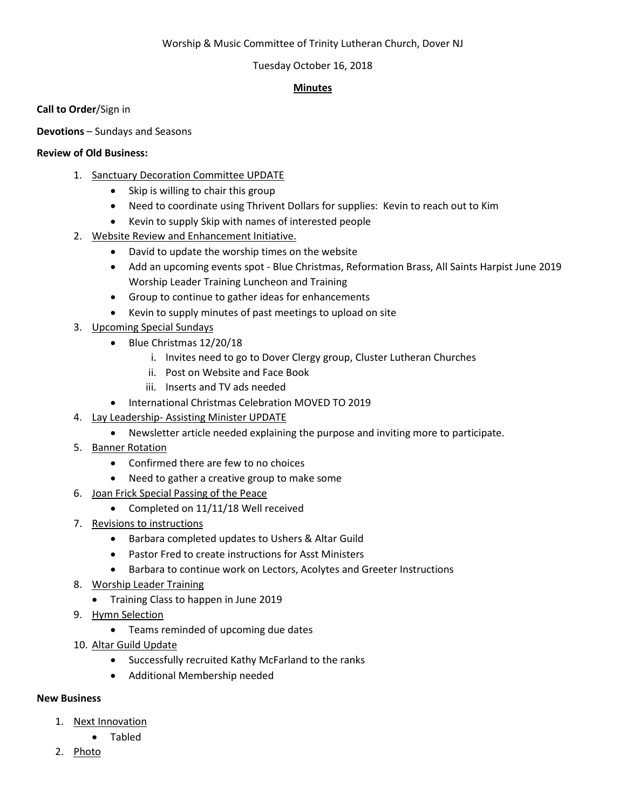# Worship & Music Committee of Trinity Lutheran Church, Dover NJ

# Tuesday October 16, 2018

# **Minutes**

**Call to Order**/Sign in

**Devotions** – Sundays and Seasons

# **Review of Old Business:**

- 1. Sanctuary Decoration Committee UPDATE
	- Skip is willing to chair this group
	- Need to coordinate using Thrivent Dollars for supplies: Kevin to reach out to Kim
	- Kevin to supply Skip with names of interested people
- 2. Website Review and Enhancement Initiative.
	- David to update the worship times on the website
	- Add an upcoming events spot Blue Christmas, Reformation Brass, All Saints Harpist June 2019 Worship Leader Training Luncheon and Training
	- Group to continue to gather ideas for enhancements
	- Kevin to supply minutes of past meetings to upload on site
- 3. Upcoming Special Sundays
	- Blue Christmas 12/20/18
		- i. Invites need to go to Dover Clergy group, Cluster Lutheran Churches
		- ii. Post on Website and Face Book
		- iii. Inserts and TV ads needed
	- International Christmas Celebration MOVED TO 2019
- 4. Lay Leadership- Assisting Minister UPDATE
	- Newsletter article needed explaining the purpose and inviting more to participate.
- 5. Banner Rotation
	- Confirmed there are few to no choices
	- Need to gather a creative group to make some
- 6. Joan Frick Special Passing of the Peace
	- Completed on 11/11/18 Well received
- 7. Revisions to instructions
	- Barbara completed updates to Ushers & Altar Guild
	- Pastor Fred to create instructions for Asst Ministers
	- Barbara to continue work on Lectors, Acolytes and Greeter Instructions
- 8. Worship Leader Training
	- Training Class to happen in June 2019
- 9. Hymn Selection
	- Teams reminded of upcoming due dates
- 10. Altar Guild Update
	- Successfully recruited Kathy McFarland to the ranks
	- Additional Membership needed

# **New Business**

- 1. Next Innovation
	- Tabled
- 2. Photo